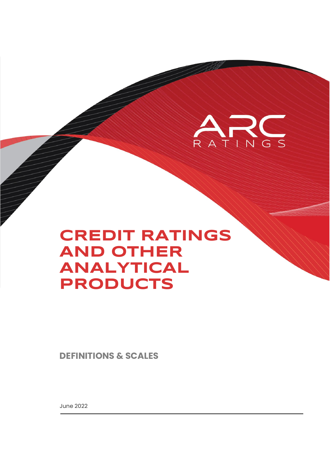

# **CREDIT RATINGS AND OTHER ANALYTICAL PRODUCTS**

**DEFINITIONS & SCALES**

June 2022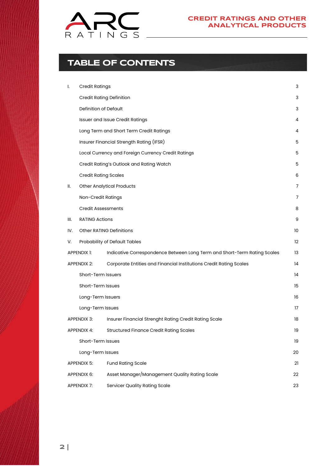

## **TABLE OF CONTENTS**

| I.                                                         | <b>Credit Ratings</b>           |                                                                          | 3  |
|------------------------------------------------------------|---------------------------------|--------------------------------------------------------------------------|----|
|                                                            | <b>Credit Rating Definition</b> |                                                                          | 3  |
|                                                            | Definition of Default           |                                                                          | 3  |
|                                                            |                                 | <b>Issuer and Issue Credit Ratings</b>                                   | 4  |
|                                                            |                                 | Long Term and Short Term Credit Ratings                                  | 4  |
|                                                            |                                 | Insurer Financial Strength Rating (IFSR)                                 | 5  |
|                                                            |                                 | Local Currency and Foreign Currency Credit Ratings                       | 5  |
|                                                            |                                 | Credit Rating's Outlook and Rating Watch                                 | 5  |
|                                                            | <b>Credit Rating Scales</b>     |                                                                          | 6  |
| II.                                                        |                                 | <b>Other Analytical Products</b>                                         | 7  |
|                                                            | Non-Credit Ratings              |                                                                          | 7  |
|                                                            | <b>Credit Assessments</b>       |                                                                          | 8  |
| III.                                                       | <b>RATING Actions</b>           |                                                                          | 9  |
| IV.                                                        | <b>Other RATING Definitions</b> |                                                                          | 10 |
| V.                                                         |                                 | Probability of Default Tables                                            | 12 |
|                                                            | APPENDIX 1:                     | Indicative Correspondence Between Long Term and Short-Term Rating Scales | 13 |
|                                                            | APPENDIX 2:                     | Corporate Entities and Financial Institutions Credit Rating Scales       | 14 |
|                                                            | Short-Term Issuers              |                                                                          | 14 |
|                                                            | Short-Term Issues               |                                                                          | 15 |
|                                                            | Long-Term Issuers               |                                                                          | 16 |
|                                                            | Long-Term Issues                |                                                                          | 17 |
|                                                            | APPENDIX 3:                     | Insurer Financial Strenght Rating Credit Rating Scale                    | 18 |
|                                                            | <b>APPENDIX 4:</b>              | <b>Structured Finance Credit Rating Scales</b>                           | 19 |
|                                                            | Short-Term Issues               |                                                                          | 19 |
|                                                            | Long-Term Issues                |                                                                          | 20 |
|                                                            | APPENDIX 5:                     | <b>Fund Rating Scale</b>                                                 | 21 |
|                                                            | APPENDIX 6:                     | Asset Manager/Management Quality Rating Scale                            | 22 |
| <b>Servicer Quality Rating Scale</b><br><b>APPENDIX 7:</b> |                                 | 23                                                                       |    |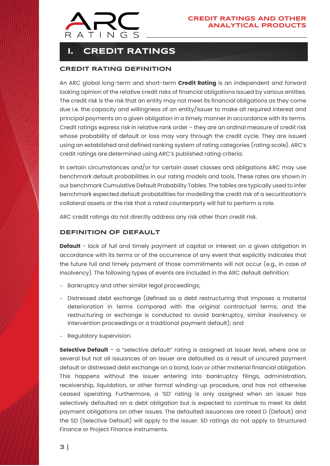

## <span id="page-2-0"></span>**I. CREDIT RATINGS**

### <span id="page-2-1"></span>**CREDIT RATING DEFINITION**

An ARC global long-term and short-term **Credit Rating** is an independent and forward looking opinion of the relative credit risks of financial obligations issued by various entities. The credit risk is the risk that an entity may not meet its financial obligations as they come due i.e. the capacity and willingness of an entity/issuer to make all required interest and principal payments on a given obligation in a timely manner in accordance with its terms. Credit ratings express risk in relative rank order – they are an ordinal measure of credit risk whose probability of default or loss may vary through the credit cycle. They are issued using an established and defined ranking system of rating categories (rating scale). ARC's credit ratings are determined using ARC's published rating criteria.

In certain circumstances and/or for certain asset classes and obligations ARC may use benchmark default probabilities in our rating models and tools. These rates are shown in our benchmark Cumulative Default Probability Tables. The tables are typically used to infer benchmark expected default probabilities for modelling the credit risk of a securitization's collateral assets or the risk that a rated counterparty will fail to perform a role.

<span id="page-2-2"></span>ARC credit ratings do not directly address any risk other than credit risk.

### **DEFINITION OF DEFAULT**

**Default** - lack of full and timely payment of capital or interest on a given obligation in accordance with its terms or of the occurrence of any event that explicitly indicates that the future full and timely payment of those commitments will not occur (e.g., in case of insolvency). The following types of events are included in the ARC default definition:

- Bankruptcy and other similar legal proceedings;
- − Distressed debt exchange (defined as a debt restructuring that imposes a material deterioration in terms compared with the original contractual terms; and the restructuring or exchange is conducted to avoid bankruptcy, similar insolvency or intervention proceedings or a traditional payment default); and
- Regulatory supervision.

**Selective Default** – a "selective default" rating is assigned at issuer level, where one or several but not all issuances of an issuer are defaulted as a result of uncured payment default or distressed debt exchange on a bond, loan or other material financial obligation. This happens without the issuer entering into bankruptcy filings, administration, receivership, liquidation, or other formal winding-up procedure, and has not otherwise ceased operating. Furthermore, a 'SD' rating is only assigned when an issuer has selectively defaulted on a debt obligation but is expected to continue to meet its debt payment obligations on other issues. The defaulted issuances are rated D (Default) and the SD (Selective Default) will apply to the issuer. SD ratings do not apply to Structured Finance or Project Finance instruments.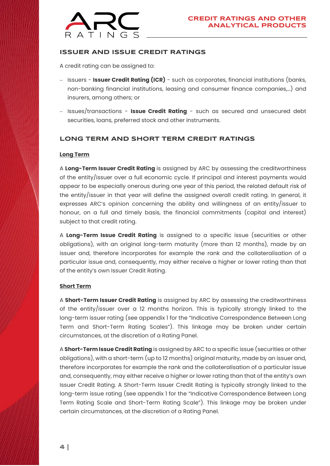

### <span id="page-3-0"></span>**ISSUER AND ISSUE CREDIT RATINGS**

A credit rating can be assigned to:

- − Issuers **Issuer Credit Rating (ICR)** such as corporates, financial institutions (banks, non-banking financial institutions, leasing and consumer finance companies,…) and insurers, among others; or
- − Issues/transactions **Issue Credit Rating** such as secured and unsecured debt securities, loans, preferred stock and other instruments.

### <span id="page-3-1"></span>**LONG TERM AND SHORT TERM CREDIT RATINGS**

#### **Long Term**

A **Long-Term Issuer Credit Rating** is assigned by ARC by assessing the creditworthiness of the entity/issuer over a full economic cycle. If principal and interest payments would appear to be especially onerous during one year of this period, the related default risk of the entity/issuer in that year will define the assigned overall credit rating. In general, it expresses ARC's opinion concerning the ability and willingness of an entity/issuer to honour, on a full and timely basis, the financial commitments (capital and interest) subject to that credit rating.

A **Long-Term Issue Credit Rating** is assigned to a specific issue (securities or other obligations), with an original long-term maturity (more than 12 months), made by an issuer and, therefore incorporates for example the rank and the collateralisation of a particular issue and, consequently, may either receive a higher or lower rating than that of the entity's own Issuer Credit Rating.

#### **Short Term**

A **Short-Term Issuer Credit Rating** is assigned by ARC by assessing the creditworthiness of the entity/issuer over a 12 months horizon. This is typically strongly linked to the long-term issuer rating (see appendix 1 for the "Indicative Correspondence Between Long Term and Short-Term Rating Scales"). This linkage may be broken under certain circumstances, at the discretion of a Rating Panel.

A **Short-Term Issue Credit Rating** is assigned by ARC to a specific issue (securities or other obligations), with a short-term (up to 12 months) original maturity, made by an issuer and, therefore incorporates for example the rank and the collateralisation of a particular issue and, consequently, may either receive a higher or lower rating than that of the entity's own Issuer Credit Rating. A Short-Term Issuer Credit Rating is typically strongly linked to the long-term issue rating (see appendix 1 for the "Indicative Correspondence Between Long Term Rating Scale and Short-Term Rating Scale"). This linkage may be broken under certain circumstances, at the discretion of a Rating Panel.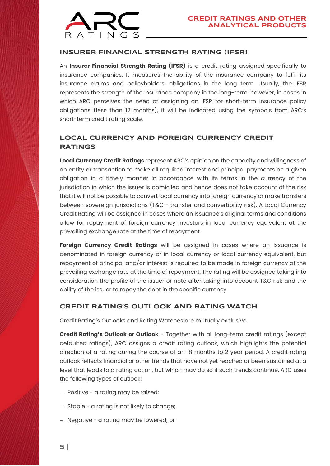

### <span id="page-4-0"></span>**INSURER FINANCIAL STRENGTH RATING (IFSR)**

An **Insurer Financial Strength Rating (IFSR)** is a credit rating assigned specifically to insurance companies. It measures the ability of the insurance company to fulfil its insurance claims and policyholders' obligations in the long term. Usually, the IFSR represents the strength of the insurance company in the long-term, however, in cases in which ARC perceives the need of assigning an IFSR for short-term insurance policy obligations (less than 12 months), it will be indicated using the symbols from ARC's short-term credit rating scale.

### <span id="page-4-1"></span>**LOCAL CURRENCY AND FOREIGN CURRENCY CREDIT RATINGS**

**Local Currency Credit Ratings** represent ARC's opinion on the capacity and willingness of an entity or transaction to make all required interest and principal payments on a given obligation in a timely manner in accordance with its terms in the currency of the jurisdiction in which the issuer is domiciled and hence does not take account of the risk that it will not be possible to convert local currency into foreign currency or make transfers between sovereign jurisdictions (T&C - transfer and convertibility risk). A Local Currency Credit Rating will be assigned in cases where an issuance's original terms and conditions allow for repayment of foreign currency investors in local currency equivalent at the prevailing exchange rate at the time of repayment.

**Foreign Currency Credit Ratings** will be assigned in cases where an issuance is denominated in foreign currency or in local currency or local currency equivalent, but repayment of principal and/or interest is required to be made in foreign currency at the prevailing exchange rate at the time of repayment. The rating will be assigned taking into consideration the profile of the issuer or note after taking into account T&C risk and the ability of the issuer to repay the debt in the specific currency.

### <span id="page-4-2"></span>**CREDIT RATING'S OUTLOOK AND RATING WATCH**

Credit Rating's Outlooks and Rating Watches are mutually exclusive.

**Credit Rating's Outlook or Outlook** - Together with all long-term credit ratings (except defaulted ratings), ARC assigns a credit rating outlook, which highlights the potential direction of a rating during the course of an 18 months to 2 year period. A credit rating outlook reflects financial or other trends that have not yet reached or been sustained at a level that leads to a rating action, but which may do so if such trends continue. ARC uses the following types of outlook:

- − Positive a rating may be raised;
- − Stable a rating is not likely to change;
- − Negative a rating may be lowered; or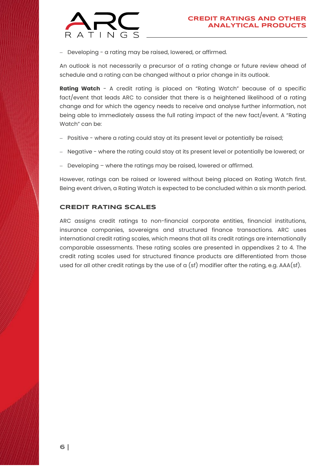

− Developing - a rating may be raised, lowered, or affirmed.

An outlook is not necessarily a precursor of a rating change or future review ahead of schedule and a rating can be changed without a prior change in its outlook.

**Rating Watch** - A credit rating is placed on "Rating Watch" because of a specific fact/event that leads ARC to consider that there is a heightened likelihood of a rating change and for which the agency needs to receive and analyse further information, not being able to immediately assess the full rating impact of the new fact/event. A "Rating Watch" can be:

- − Positive where a rating could stay at its present level or potentially be raised;
- − Negative where the rating could stay at its present level or potentially be lowered; or
- Developing where the ratings may be raised, lowered or affirmed.

However, ratings can be raised or lowered without being placed on Rating Watch first. Being event driven, a Rating Watch is expected to be concluded within a six month period.

### <span id="page-5-0"></span>**CREDIT RATING SCALES**

ARC assigns credit ratings to non-financial corporate entities, financial institutions, insurance companies, sovereigns and structured finance transactions. ARC uses international credit rating scales, which means that all its credit ratings are internationally comparable assessments. These rating scales are presented in appendixes 2 to 4. The credit rating scales used for structured finance products are differentiated from those used for all other credit ratings by the use of a (sf) modifier after the rating, e.g. AAA(sf).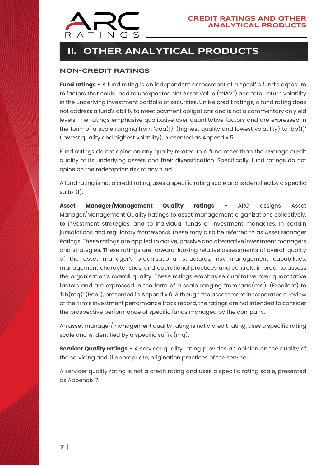

## <span id="page-6-0"></span>**II. OTHER ANALYTICAL PRODUCTS**

### <span id="page-6-1"></span>**NON-CREDIT RATINGS**

**Fund ratings** - A fund rating is an independent assessment of a specific fund's exposure to factors that could lead to unexpected Net Asset Value ("NAV") and total return volatility in the underlying investment portfolio of securities. Unlike credit ratings, a fund rating does not address a fund's ability to meet payment obligations and is not a commentary on yield levels. The ratings emphasise qualitative over quantitative factors and are expressed in the form of a scale ranging from ' $\alpha\alpha(f)'$  (highest quality and lowest volatility) to 'bb(f)' (lowest quality and highest volatility), presented as Appendix 5.

Fund ratings do not opine on any quality related to a fund other than the average credit quality of its underlying assets and their diversification. Specifically, fund ratings do not opine on the redemption risk of any fund.

A fund rating is not a credit rating, uses a specific rating scale and is identified by a specific suffix (f).

**Asset Manager/Management Quality ratings** - ARC assigns Asset Manager/Management Quality Ratings to asset management organizations collectively, to investment strategies, and to individual funds or investment mandates. In certain jurisdictions and regulatory frameworks, these may also be referred to as Asset Manager Ratings. These ratings are applied to active, passive and alternative investment managers and strategies. These ratings are forward-looking relative assessments of overall quality of the asset manager's organisational structures, risk management capabilities, management characteristics, and operational practices and controls, in order to assess the organisation's overall quality. These ratings emphasise qualitative over quantitative factors and are expressed in the form of a scale ranging from 'aaa $(mq)'$  (Excellent) to 'bb(mq)' (Poor), presented in Appendix 6. Although the assessment incorporates a review of the firm's investment performance track record, the ratings are not intended to consider the prospective performance of specific funds managed by the company.

An asset manager/management quality rating is not a credit rating, uses a specific rating scale and is identified by a specific suffix (mq).

**Servicer Quality ratings** - A servicer quality rating provides an opinion on the quality of the servicing and, if appropriate, origination practices of the servicer.

<span id="page-6-2"></span>A servicer quality rating is not a credit rating and uses a specific rating scale, presented as Appendix 7.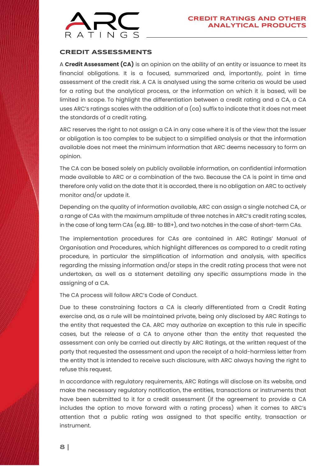

### **CREDIT ASSESSMENTS**

A **Credit Assessment (CA)** is an opinion on the ability of an entity or issuance to meet its financial obligations. It is a focused, summarized and, importantly, point in time assessment of the credit risk. A CA is analysed using the same criteria as would be used for a rating but the analytical process, or the information on which it is based, will be limited in scope. To highlight the differentiation between a credit rating and a CA, a CA uses ARC's ratings scales with the addition of  $a$  (ca) suffix to indicate that it does not meet the standards of a credit rating.

ARC reserves the right to not assign a CA in any case where it is of the view that the issuer or obligation is too complex to be subject to a simplified analysis or that the information available does not meet the minimum information that ARC deems necessary to form an opinion.

The CA can be based solely on publicly available information, on confidential information made available to ARC or a combination of the two. Because the CA is point in time and therefore only valid on the date that it is accorded, there is no obligation on ARC to actively monitor and/or update it.

Depending on the quality of information available, ARC can assign a single notched CA, or a range of CAs with the maximum amplitude of three notches in ARC's credit rating scales, in the case of long term CAs (e.g. BB- to BB+), and two notches in the case of short-term CAs.

The implementation procedures for CAs are contained in ARC Ratings' Manual of Organisation and Procedures, which highlight differences as compared to a credit rating procedure, in particular the simplification of information and analysis, with specifics regarding the missing information and/or steps in the credit rating process that were not undertaken, as well as a statement detailing any specific assumptions made in the assigning of a CA.

The CA process will follow ARC's Code of Conduct.

Due to these constraining factors a CA is clearly differentiated from a Credit Rating exercise and, as a rule will be maintained private, being only disclosed by ARC Ratings to the entity that requested the CA. ARC may authorize an exception to this rule in specific cases, but the release of a CA to anyone other than the entity that requested the assessment can only be carried out directly by ARC Ratings, at the written request of the party that requested the assessment and upon the receipt of a hold-harmless letter from the entity that is intended to receive such disclosure, with ARC always having the right to refuse this request.

In accordance with regulatory requirements, ARC Ratings will disclose on its website, and make the necessary regulatory notification, the entities, transactions or instruments that have been submitted to it for a credit assessment (if the agreement to provide a CA includes the option to move forward with a rating process) when it comes to ARC's attention that a public rating was assigned to that specific entity, transaction or instrument.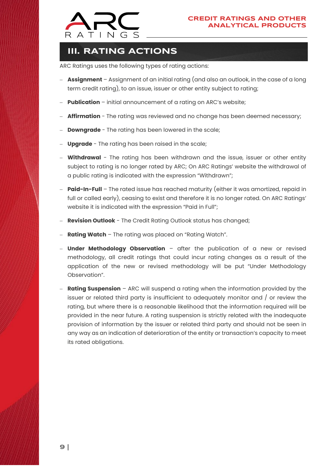

## <span id="page-8-0"></span>**III. RATING ACTIONS**

ARC Ratings uses the following types of rating actions:

- − **Assignment** Assignment of an initial rating (and also an outlook, in the case of a long term credit rating), to an issue, issuer or other entity subject to rating;
- **Publication** initial announcement of a rating on ARC's website;
- **Affirmation** The rating was reviewed and no change has been deemed necessary;
- **Downgrade** The rating has been lowered in the scale;
- Upgrade The rating has been raised in the scale;
- − **Withdrawal** The rating has been withdrawn and the issue, issuer or other entity subject to rating is no longer rated by ARC; On ARC Ratings' website the withdrawal of a public rating is indicated with the expression "Withdrawn";
- − **Paid-In-Full** The rated issue has reached maturity (either it was amortized, repaid in full or called early), ceasing to exist and therefore it is no longer rated. On ARC Ratings' website it is indicated with the expression "Paid in Full";
- **Revision Outlook** The Credit Rating Outlook status has changed;
- **Rating Watch** The rating was placed on "Rating Watch".
- Under Methodology Observation − after the publication of a new or revised methodology, all credit ratings that could incur rating changes as a result of the application of the new or revised methodology will be put "Under Methodology Observation".
- **Rating Suspension** − ARC will suspend a rating when the information provided by the issuer or related third party is insufficient to adequately monitor and / or review the rating, but where there is a reasonable likelihood that the information required will be provided in the near future. A rating suspension is strictly related with the inadequate provision of information by the issuer or related third party and should not be seen in any way as an indication of deterioration of the entity or transaction's capacity to meet its rated obligations.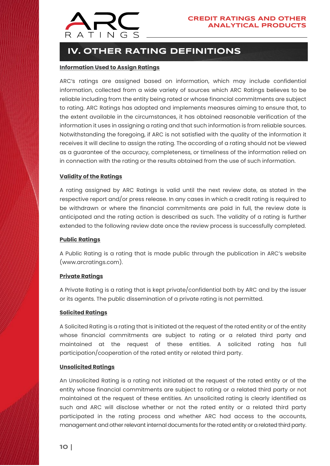

## <span id="page-9-0"></span> **IV. OTHER RATING DEFINITIONS**

### **Information Used to Assign Ratings**

ARC's ratings are assigned based on information, which may include confidential information, collected from a wide variety of sources which ARC Ratings believes to be reliable including from the entity being rated or whose financial commitments are subject to rating. ARC Ratings has adopted and implements measures aiming to ensure that, to the extent available in the circumstances, it has obtained reasonable verification of the information it uses in assigning a rating and that such information is from reliable sources. Notwithstanding the foregoing, if ARC is not satisfied with the quality of the information it receives it will decline to assign the rating. The according of a rating should not be viewed as a guarantee of the accuracy, completeness, or timeliness of the information relied on in connection with the rating or the results obtained from the use of such information.

### **Validity of the Ratings**

A rating assigned by ARC Ratings is valid until the next review date, as stated in the respective report and/or press release. In any cases in which a credit rating is required to be withdrawn or where the financial commitments are paid in full, the review date is anticipated and the rating action is described as such. The validity of a rating is further extended to the following review date once the review process is successfully completed.

### **Public Ratings**

A Public Rating is a rating that is made public through the publication in ARC's website [\(www.arcratings.com\)](http://www.arcratings.com/).

### **Private Ratings**

A Private Rating is a rating that is kept private/confidential both by ARC and by the issuer or its agents. The public dissemination of a private rating is not permitted.

#### **Solicited Ratings**

A Solicited Rating is a rating that is initiated at the request of the rated entity or of the entity whose financial commitments are subject to rating or a related third party and maintained at the request of these entities. A solicited rating has full participation/cooperation of the rated entity or related third party.

#### **Unsolicited Ratings**

An Unsolicited Rating is a rating not initiated at the request of the rated entity or of the entity whose financial commitments are subject to rating or a related third party or not maintained at the request of these entities. An unsolicited rating is clearly identified as such and ARC will disclose whether or not the rated entity or a related third party participated in the rating process and whether ARC had access to the accounts, management and other relevant internal documents for the rated entity or a related third party.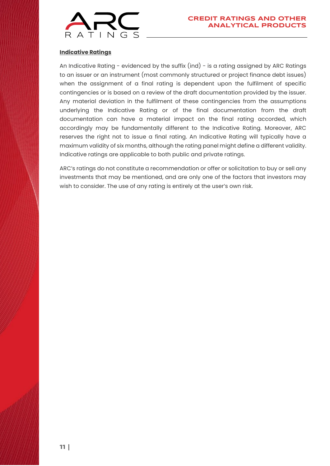

### **Indicative Ratings**

An Indicative Rating - evidenced by the suffix (ind) - is a rating assigned by ARC Ratings to an issuer or an instrument (most commonly structured or project finance debt issues) when the assignment of a final rating is dependent upon the fulfilment of specific contingencies or is based on a review of the draft documentation provided by the issuer. Any material deviation in the fulfilment of these contingencies from the assumptions underlying the Indicative Rating or of the final documentation from the draft documentation can have a material impact on the final rating accorded, which accordingly may be fundamentally different to the Indicative Rating. Moreover, ARC reserves the right not to issue a final rating. An Indicative Rating will typically have a maximum validity of six months, although the rating panel might define a different validity. Indicative ratings are applicable to both public and private ratings.

ARC's ratings do not constitute a recommendation or offer or solicitation to buy or sell any investments that may be mentioned, and are only one of the factors that investors may wish to consider. The use of any rating is entirely at the user's own risk.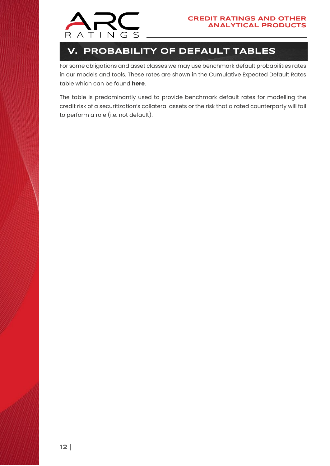

## <span id="page-11-0"></span>**V. PROBABILITY OF DEFAULT TABLES**

For some obligations and asset classes we may use benchmark default probabilities rates in our models and tools. These rates are shown in the Cumulative Expected Default Rates table which can be found **[here](http://arcratings.com/wp-content/uploads/2021/08/ARC-Ratings_Cumulative_Expected_Default_Rates_Table.xlsx)**.

The table is predominantly used to provide benchmark default rates for modelling the credit risk of a securitization's collateral assets or the risk that a rated counterparty will fail to perform a role (i.e. not default).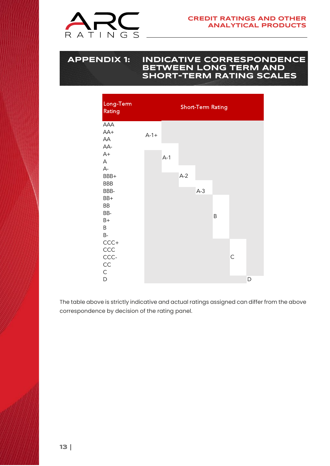

### <span id="page-12-0"></span>**APPENDIX 1: INDICATIVE CORRESPONDENCE BETWEEN LONG TERM AND SHORT-TERM RATING SCALES**



The table above is strictly indicative and actual ratings assigned can differ from the above correspondence by decision of the rating panel.

**13 |**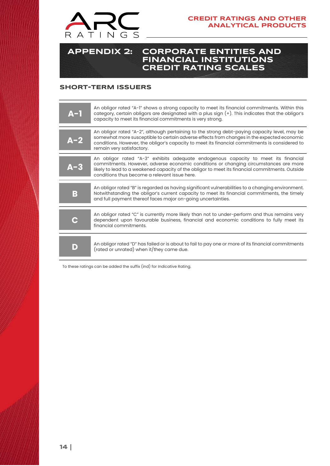

### <span id="page-13-0"></span>**APPENDIX 2: CORPORATE ENTITIES AND FINANCIAL INSTITUTIONS CREDIT RATING SCALES**

### <span id="page-13-1"></span>**SHORT-TERM ISSUERS**

| $A-1$ | An obligor rated "A-1" shows a strong capacity to meet its financial commitments. Within this<br>category, certain obligors are designated with a plus sign (+). This indicates that the obligor's<br>capacity to meet its financial commitments is very strong.                                                               |
|-------|--------------------------------------------------------------------------------------------------------------------------------------------------------------------------------------------------------------------------------------------------------------------------------------------------------------------------------|
| А-2   | An obligor rated "A-2", although pertaining to the strong debt-paying capacity level, may be<br>somewhat more susceptible to certain adverse effects from changes in the expected economic<br>conditions. However, the obligor's capacity to meet its financial commitments is considered to<br>remain very satisfactory.      |
| А-3   | An obligor rated "A-3" exhibits adequate endogenous capacity to meet its financial<br>commitments. However, adverse economic conditions or changing circumstances are more<br>likely to lead to a weakened capacity of the obligor to meet its financial commitments. Outside<br>conditions thus become a relevant issue here. |
| B     | An obligor rated "B" is regarded as having significant vulnerabilities to a changing environment.<br>Notwithstanding the obligor's current capacity to meet its financial commitments, the timely<br>and full payment thereof faces major on-going uncertainties.                                                              |
|       | An obligor rated "C" is currently more likely than not to under-perform and thus remains very<br>dependent upon favourable business, financial and economic conditions to fully meet its<br>financial commitments.                                                                                                             |
| D     | An obligor rated "D" has failed or is about to fail to pay one or more of its financial commitments<br>(rated or unrated) when it/they came due.                                                                                                                                                                               |

To these ratings can be added the suffix (ind) for Indicative Rating.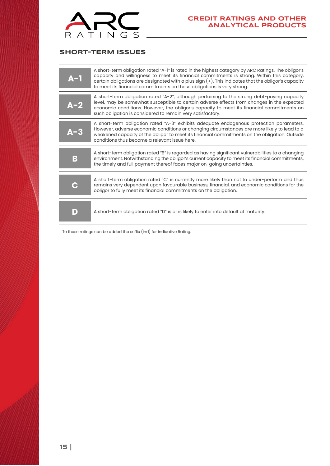

### <span id="page-14-0"></span>**SHORT-TERM ISSUES**

| $A-1$ | A short-term obligation rated "A-1" is rated in the highest category by ARC Ratings. The obligor's<br>capacity and willingness to meet its financial commitments is strong. Within this category,<br>certain obligations are designated with a plus sign (+). This indicates that the obligor's capacity<br>to meet its financial commitments on these obligations is very strong. |
|-------|------------------------------------------------------------------------------------------------------------------------------------------------------------------------------------------------------------------------------------------------------------------------------------------------------------------------------------------------------------------------------------|
| A-2   | A short-term obligation rated "A-2", although pertaining to the strong debt-paying capacity<br>level, may be somewhat susceptible to certain adverse effects from changes in the expected<br>economic conditions. However, the obligor's capacity to meet its financial commitments on<br>such obligation is considered to remain very satisfactory.                               |
| А-3   | A short-term obligation rated "A-3" exhibits adequate endogenous protection parameters.<br>However, adverse economic conditions or changing circumstances are more likely to lead to a<br>weakened capacity of the obligor to meet its financial commitments on the obligation. Outside<br>conditions thus become a relevant issue here.                                           |
| B     | A short-term obligation rated "B" is regarded as having significant vulnerabilities to a changing<br>environment. Notwithstanding the obligor's current capacity to meet its financial commitments,<br>the timely and full payment thereof faces major on-going uncertainties.                                                                                                     |
|       | A short-term obligation rated "C" is currently more likely than not to under-perform and thus<br>remains very dependent upon favourable business, financial, and economic conditions for the<br>obligor to fully meet its financial commitments on the obligation.                                                                                                                 |
| D     | A short-term obligation rated "D" is or is likely to enter into default at maturity.                                                                                                                                                                                                                                                                                               |

To these ratings can be added the suffix (ind) for Indicative Rating.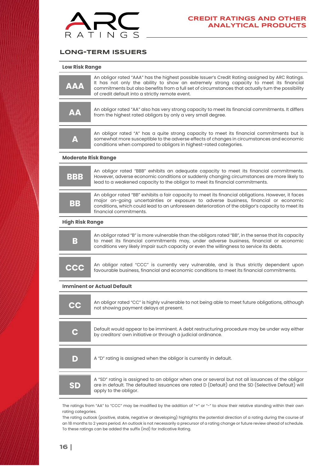

### <span id="page-15-0"></span>**LONG-TERM ISSUERS**

|  |  | <b>Low Risk Range</b> |
|--|--|-----------------------|
|--|--|-----------------------|

| <b>AAA</b> | An obligor rated "AAA" has the highest possible Issuer's Credit Rating assigned by ARC Ratings.<br>It has not only the ability to show an extremely strong capacity to meet its financial<br>commitments but also benefits from a full set of circumstances that actually turn the possibility<br>of credit default into a strictly remote event. |
|------------|---------------------------------------------------------------------------------------------------------------------------------------------------------------------------------------------------------------------------------------------------------------------------------------------------------------------------------------------------|
| <b>AA</b>  | An obligor rated "AA" also has very strong capacity to meet its financial commitments. It differs<br>from the highest rated obligors by only a very small degree.                                                                                                                                                                                 |
| A          | An obligor rated "A" has a quite strong capacity to meet its financial commitments but is<br>somewhat more susceptible to the adverse effects of changes in circumstances and economic<br>conditions when compared to obligors in highest-rated categories.                                                                                       |

#### **Moderate Risk Range**

| <b>BBB</b> | An obligor rated "BBB" exhibits an adequate capacity to meet its financial commitments.<br>However, adverse economic conditions or suddenly changing circumstances are more likely to<br>lead to a weakened capacity to the obligor to meet its financial commitments.                                                    |
|------------|---------------------------------------------------------------------------------------------------------------------------------------------------------------------------------------------------------------------------------------------------------------------------------------------------------------------------|
| BB         | An obligor rated "BB" exhibits a fair capacity to meet its financial obligations. However, it faces<br>major on-going uncertainties or exposure to adverse business, financial or economic<br>conditions, which could lead to an unforeseen deterioration of the obligor's capacity to meet its<br>financial commitments. |

#### **High Risk Range**

| B | An obligor rated "B" is more vulnerable than the obligors rated "BB", in the sense that its capacity<br>to meet its financial commitments may, under adverse business, financial or economic<br>conditions very likely impair such capacity or even the willingness to service its debts. |
|---|-------------------------------------------------------------------------------------------------------------------------------------------------------------------------------------------------------------------------------------------------------------------------------------------|
|   |                                                                                                                                                                                                                                                                                           |
|   |                                                                                                                                                                                                                                                                                           |

| <b>CCC</b> | An obligor rated "CCC" is currently very vulnerable, and is thus strictly dependent upon  |
|------------|-------------------------------------------------------------------------------------------|
|            | favourable business, financial and economic conditions to meet its financial commitments. |

#### **Imminent or Actual Default**

| cc | An obligor rated "CC" is highly vulnerable to not being able to meet future obligations, although<br>not showing payment delays at present.                                                                                    |
|----|--------------------------------------------------------------------------------------------------------------------------------------------------------------------------------------------------------------------------------|
| C  | Default would appear to be imminent. A debt restructuring procedure may be under way either<br>by creditors' own initiative or through a judicial ordinance.                                                                   |
| D  | A "D" rating is assigned when the obligor is currently in default.                                                                                                                                                             |
| SD | A "SD" rating is assigned to an obligor when one or several but not all issuances of the obligor<br>are in default. The defaulted issuances are rated D (Default) and the SD (Selective Default) will<br>apply to the obligor. |

The ratings from "AA" to "CCC" may be modified by the addition of "+" or "-" to show their relative standing within their own rating categories.

The rating outlook (positive, stable, negative or developing) highlights the potential direction of a rating during the course of an 18 months to 2 years period. An outlook is not necessarily a precursor of a rating change or future review ahead of schedule. To these ratings can be added the suffix (ind) for Indicative Rating.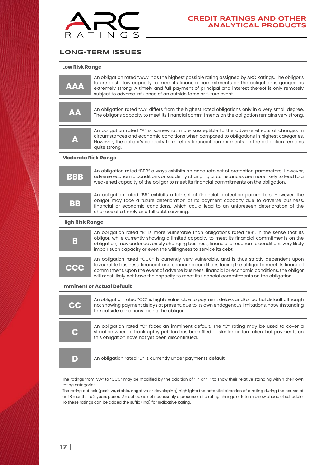

### <span id="page-16-0"></span>**LONG-TERM ISSUES**

| <b>Low Risk Range</b> |  |
|-----------------------|--|
|-----------------------|--|

| <b>AAA</b>                                                                                                                                          | An obligation rated "AAA" has the highest possible rating assigned by ARC Ratings. The obligor's<br>future cash flow capacity to meet its financial commitments on the obligation is gauged as<br>extremely strong. A timely and full payment of principal and interest thereof is only remotely<br>subject to adverse influence of an outside force or future event.                           |  |
|-----------------------------------------------------------------------------------------------------------------------------------------------------|-------------------------------------------------------------------------------------------------------------------------------------------------------------------------------------------------------------------------------------------------------------------------------------------------------------------------------------------------------------------------------------------------|--|
| <b>AA</b>                                                                                                                                           | An obligation rated "AA" differs from the highest rated obligations only in a very small degree.<br>The obligor's capacity to meet its financial commitments on the obligation remains very strong.                                                                                                                                                                                             |  |
| A                                                                                                                                                   | An obligation rated "A" is somewhat more susceptible to the adverse effects of changes in<br>circumstances and economic conditions when compared to obligations in highest categories.<br>However, the obligor's capacity to meet its financial commitments on the obligation remains<br>quite strong.                                                                                          |  |
| <b>Moderate Risk Range</b>                                                                                                                          |                                                                                                                                                                                                                                                                                                                                                                                                 |  |
| BBB                                                                                                                                                 | An obligation rated "BBB" always exhibits an adequate set of protection parameters. However,<br>adverse economic conditions or suddenly changing circumstances are more likely to lead to a<br>weakened capacity of the obligor to meet its financial commitments on the obligation.                                                                                                            |  |
| BB                                                                                                                                                  | An obligation rated "BB" exhibits a fair set of financial protection parameters. However, the<br>obligor may face a future deterioration of its payment capacity due to adverse business,<br>financial or economic conditions, which could lead to an unforeseen deterioration of the<br>chances of a timely and full debt servicing.                                                           |  |
| <b>High Risk Range</b>                                                                                                                              |                                                                                                                                                                                                                                                                                                                                                                                                 |  |
| B                                                                                                                                                   | An obligation rated "B" is more vulnerable than obligations rated "BB", in the sense that its<br>obligor, while currently showing a limited capacity to meet its financial commitments on the<br>obligation, may under adversely changing business, financial or economic conditions very likely<br>impair such capacity or even the willingness to service its debt.                           |  |
| <b>CCC</b>                                                                                                                                          | An obligation rated "CCC" is currently very vulnerable, and is thus strictly dependent upon<br>favourable business, financial, and economic conditions facing the obligor to meet its financial<br>commitment. Upon the event of adverse business, financial or economic conditions, the obligor<br>will most likely not have the capacity to meet its financial commitments on the obligation. |  |
|                                                                                                                                                     | <b>Imminent or Actual Default</b>                                                                                                                                                                                                                                                                                                                                                               |  |
| CC                                                                                                                                                  | An obligation rated "CC" is highly vulnerable to payment delays and/or partial default although<br>not showing payment delays at present, due to its own endogenous limitations, notwithstanding<br>the outside conditions facing the obligor.                                                                                                                                                  |  |
| Q                                                                                                                                                   | An obligation rated "C" faces an imminent default. The "C" rating may be used to cover a<br>situation where a bankruptcy petition has been filed or similar action taken, but payments on<br>this obligation have not yet been discontinued.                                                                                                                                                    |  |
| $\blacksquare$                                                                                                                                      | An obligation rated "D" is currently under payments default.                                                                                                                                                                                                                                                                                                                                    |  |
| The ratings from "AA" to "CCC" may be modified by the addition of "+" or "-" to show their relative standing within their own<br>rating categories. |                                                                                                                                                                                                                                                                                                                                                                                                 |  |

The rating outlook (positive, stable, negative or developing) highlights the potential direction of a rating during the course of an 18 months to 2 years period. An outlook is not necessarily a precursor of a rating change or future review ahead of schedule. To these ratings can be added the suffix (ind) for Indicative Rating.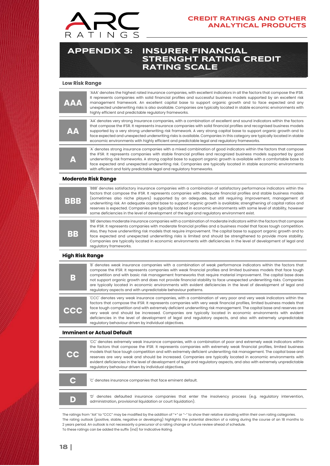

### **CREDIT RATINGS AND OTHER ANALYTICAL PRODUCTS**

### <span id="page-17-0"></span>**APPENDIX 3: INSURER FINANCIAL STRENGHT RATING CREDIT RATING SCALE**

#### **Low Risk Range**

| <b>AAA</b> | 'AAA' denotes the highest rated insurance companies, with excellent indicators in all the factors that compose the IFSR.<br>It represents companies with solid financial profiles and successful business models supported by an excellent risk<br>management framework. An excellent capital base to support organic growth and to face expected and any<br>unexpected underwriting risks is also available. Companies are typically located in stable economic environments with<br>highly efficient and predictable regulatory frameworks.                                                    |
|------------|--------------------------------------------------------------------------------------------------------------------------------------------------------------------------------------------------------------------------------------------------------------------------------------------------------------------------------------------------------------------------------------------------------------------------------------------------------------------------------------------------------------------------------------------------------------------------------------------------|
| <b>AA</b>  | AA' denotes very strong insurance companies, with a combination of excellent and sound indicators within the factors<br>that compose the IFSR. It represents insurance companies with solid financial profiles and recognised business models<br>supported by a very strong underwriting risk framework. A very strong capital base to support organic growth and to<br>face expected and unexpected underwriting risks is available. Companies in this category are typically located in stable<br>economic environments with highly efficient and predictable legal and regulatory frameworks. |
|            | A denotes strong insurance companies with a mixed combination of good indicators within the factors that compose<br>the IFSR. It represents companies with stable financial profiles and recognized business models supported by good                                                                                                                                                                                                                                                                                                                                                            |

underwriting risk frameworks. A strong capital base to support organic growth is available with a comfortable base to face expected and unexpected underwriting risk. Companies are typically located in stable economic environments with efficient and fairly predictable legal and regulatory frameworks.

#### **Moderate Risk Range**

**A** 

| BBB | BBB' denotes satisfactory insurance companies with a combination of satisfactory performance indicators within the<br>factors that compose the IFSR. It represents companies with adequate financial profiles and stable business models<br>(sometimes also niche players) supported by an adequate, but still requiring improvement, management of<br>underwriting risk. An adequate capital base to support organic growth is available; strengthening of capital ratios and<br>reserves is expected. Companies are typically located in economic environments with some level of stability, however<br>some deficiencies in the level of development of the legal and regulatory environment exist. |
|-----|--------------------------------------------------------------------------------------------------------------------------------------------------------------------------------------------------------------------------------------------------------------------------------------------------------------------------------------------------------------------------------------------------------------------------------------------------------------------------------------------------------------------------------------------------------------------------------------------------------------------------------------------------------------------------------------------------------|
| BB  | 'BB' denotes moderate insurance companies with a combination of moderate indicators within the factors that compose<br>the IFSR. It represents companies with moderate financial profiles and a business model that faces tough competition.<br>Also, they have underwriting risk models that require improvement. The capital base to support organic growth and to<br>face expected and unexpected underwriting risks is limited and should be strengthened to provide more stability.<br>Companies are typically located in economic environments with deficiencies in the level of development of legal and<br>regulatory frameworks.                                                              |

#### **High Risk Range**

| В          | B denotes weak insurance companies with a combination of weak performance indicators within the factors that<br>compose the IFSR. It represents companies with weak financial profiles and limited business models that face tough<br>competition and with basic risk management frameworks that require material improvement. The capital base does<br>not support organic growth and does not provide financial stability to face unexpected underwriting risks. Companies<br>are typically located in economic environments with evident deficiencies in the level of development of legal and<br>regulatory aspects and with unpredictable behaviour patterns. |
|------------|--------------------------------------------------------------------------------------------------------------------------------------------------------------------------------------------------------------------------------------------------------------------------------------------------------------------------------------------------------------------------------------------------------------------------------------------------------------------------------------------------------------------------------------------------------------------------------------------------------------------------------------------------------------------|
| <b>CCC</b> | CCC' denotes very weak insurance companies, with a combination of very poor and very weak indicators within the<br>factors that compose the IFSR. It represents companies with very weak financial profiles, limited business models that<br>face tough competition and with extremely deficient underwriting risk management. The capital base and reserves are<br>very weak and should be increased. Companies are typically located in economic environments with evident<br>deficiencies in the level of development of legal and regulatory aspects, and also with extremely unpredictable<br>regulatory behaviour driven by individual objectives.           |

#### **Imminent or Actual Default**

| <b>CC</b> | 'CC' denotes extremely weak insurance companies, with a combination of poor and extremely weak indicators within<br>the factors that compose the IFSR. It represents companies with extremely weak financial profiles, limited business<br>models that face tough competition and with extremely deficient underwriting risk management. The capital base and<br>reserves are very weak and should be increased. Companies are typically located in economic environments with<br>evident deficiencies in the level of development of legal and regulatory aspects, and also with extremely unpredictable<br>regulatory behaviour driven by individual objectives. |
|-----------|--------------------------------------------------------------------------------------------------------------------------------------------------------------------------------------------------------------------------------------------------------------------------------------------------------------------------------------------------------------------------------------------------------------------------------------------------------------------------------------------------------------------------------------------------------------------------------------------------------------------------------------------------------------------|
| C         | 'C' denotes insurance companies that face eminent default.                                                                                                                                                                                                                                                                                                                                                                                                                                                                                                                                                                                                         |
| D         | 'D' denotes defaulted insurance companies that enter the insolvency process (e.g. regulatory intervention,<br>administration, provisional liquidation or court liquidation).                                                                                                                                                                                                                                                                                                                                                                                                                                                                                       |

The ratings from "AA" to "CCC" may be modified by the addition of "+" or "-" to show their relative standing within their own rating categories. The rating outlook (positive, stable, negative or developing) highlights the potential direction of a rating during the course of an 18 months to 2 years period. An outlook is not necessarily a precursor of a rating change or future review ahead of schedule. To these ratings can be added the suffix (ind) for Indicative Rating.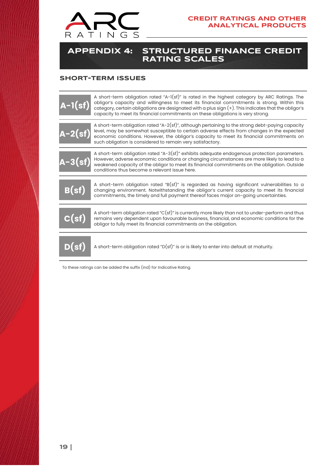

### <span id="page-18-0"></span>**APPENDIX 4: STRUCTURED FINANCE CREDIT RATING SCALES**

### <span id="page-18-1"></span>**SHORT-TERM ISSUES**

| $A-1(st)$                            | A short-term obligation rated "A-1(sf)" is rated in the highest category by ARC Ratings. The<br>obligor's capacity and willingness to meet its financial commitments is strong. Within this<br>category, certain obligations are designated with a plus sign (+). This indicates that the obligor's<br>capacity to meet its financial commitments on these obligations is very strong. |
|--------------------------------------|----------------------------------------------------------------------------------------------------------------------------------------------------------------------------------------------------------------------------------------------------------------------------------------------------------------------------------------------------------------------------------------|
| $A-2(st)$                            | A short-term obligation rated "A-2(sf)", although pertaining to the strong debt-paying capacity<br>level, may be somewhat susceptible to certain adverse effects from changes in the expected<br>economic conditions. However, the obligor's capacity to meet its financial commitments on<br>such obligation is considered to remain very satisfactory.                               |
| $A-3(sf)$                            | A short-term obligation rated "A-3(sf)" exhibits adequate endogenous protection parameters.<br>However, adverse economic conditions or changing circumstances are more likely to lead to a<br>weakened capacity of the obligor to meet its financial commitments on the obligation. Outside<br>conditions thus become a relevant issue here.                                           |
| B(st)                                | A short-term obligation rated "B(sf)" is regarded as having significant vulnerabilities to a<br>changing environment. Notwithstanding the obligor's current capacity to meet its financial<br>commitments, the timely and full payment thereof faces major on-going uncertainties.                                                                                                     |
| C(st)                                | A short-term obligation rated "C(sf)" is currently more likely than not to under-perform and thus<br>remains very dependent upon favourable business, financial, and economic conditions for the<br>obligor to fully meet its financial commitments on the obligation.                                                                                                                 |
| $\overline{\mathsf{D}(\mathsf{sf})}$ | A short-term obligation rated "D(sf)" is or is likely to enter into default at maturity.                                                                                                                                                                                                                                                                                               |
|                                      | To these ratings can be added the suffix (ind) for Indicative Rating.                                                                                                                                                                                                                                                                                                                  |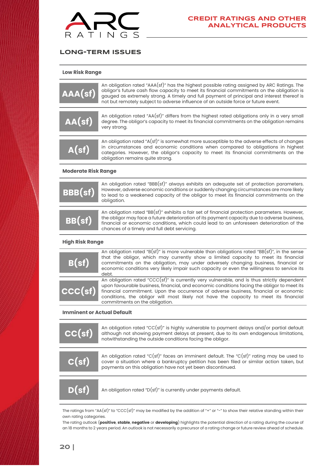

### <span id="page-19-0"></span>**LONG-TERM ISSUES**

**Low Risk Range**

| AA(sf)                     | An obligation rated "AAA(sf)" has the highest possible rating assigned by ARC Ratings. The<br>obligor's future cash flow capacity to meet its financial commitments on the obligation is<br>gauged as extremely strong. A timely and full payment of principal and interest thereof is<br>not but remotely subject to adverse influence of an outside force or future event. |
|----------------------------|------------------------------------------------------------------------------------------------------------------------------------------------------------------------------------------------------------------------------------------------------------------------------------------------------------------------------------------------------------------------------|
| AA(st)                     | An obligation rated "AA(sf)" differs from the highest rated obligations only in a very small<br>degree. The obligor's capacity to meet its financial commitments on the obligation remains<br>very strong.                                                                                                                                                                   |
| A(sf)                      | An obligation rated "A(sf)" is somewhat more susceptible to the adverse effects of changes<br>in circumstances and economic conditions when compared to obligations in highest<br>categories. However, the obligor's capacity to meet its financial commitments on the<br>obligation remains quite strong.                                                                   |
| <b>Moderate Risk Range</b> |                                                                                                                                                                                                                                                                                                                                                                              |
|                            | An obligation rated "BBB(sf)" always exhibits an adequate set of protection parameters                                                                                                                                                                                                                                                                                       |

| <b>BBB(sf)</b> | An obligation rated "BBB(st)" always exhibits an adequate set of protection parameters.<br>However, adverse economic conditions or suddenly changing circumstances are more likely<br>to lead to a weakened capacity of the obligor to meet its financial commitments on the<br>obligation.                                               |
|----------------|-------------------------------------------------------------------------------------------------------------------------------------------------------------------------------------------------------------------------------------------------------------------------------------------------------------------------------------------|
| BB(st)         | An obligation rated "BB(sf)" exhibits a fair set of financial protection parameters. However,<br>the obligor may face a future deterioration of its payment capacity due to adverse business,<br>financial or economic conditions, which could lead to an unforeseen deterioration of the<br>chances of a timely and full debt servicing. |

#### **High Risk Range**

| B(st)   | An obligation rated "B(sf)" is more vulnerable than obligations rated "BB(sf)", in the sense<br>that the obligor, which may currently show a limited capacity to meet its financial<br>commitments on the obligation, may under adversely changing business, financial or<br>economic conditions very likely impair such capacity or even the willingness to service its<br>debt.                           |
|---------|-------------------------------------------------------------------------------------------------------------------------------------------------------------------------------------------------------------------------------------------------------------------------------------------------------------------------------------------------------------------------------------------------------------|
| ccc(st) | An obligation rated "CCC(sf)" is currently very vulnerable, and is thus strictly dependent<br>upon favourable business, financial, and economic conditions facing the obligor to meet its<br>financial commitment. Upon the occurrence of adverse business, financial or economic<br>conditions, the obligor will most likely not have the capacity to meet its financial<br>commitments on the obligation. |

#### **Imminent or Actual Default**

| CC(st) | An obligation rated "CC(sf)" is highly vulnerable to payment delays and/or partial default<br>although not showing payment delays at present, due to its own endogenous limitations,<br>notwithstanding the outside conditions facing the obligor.   |
|--------|------------------------------------------------------------------------------------------------------------------------------------------------------------------------------------------------------------------------------------------------------|
| C(st)  | An obligation rated "C(sf)" faces an imminent default. The "C(sf)" rating may be used to<br>cover a situation where a bankruptcy petition has been filed or similar action taken, but<br>payments on this obligation have not yet been discontinued. |
| D(sf)  | An obligation rated " $D(st)$ " is currently under payments default.                                                                                                                                                                                 |
|        |                                                                                                                                                                                                                                                      |

The ratings from "AA(sf)" to "CCC(sf)" may be modified by the addition of "+" or "-" to show their relative standing within their own rating categories.

The rating outlook (**positive**, **stable**, **negative** or **developing**) highlights the potential direction of a rating during the course of an 18 months to 2 years period. An outlook is not necessarily a precursor of a rating change or future review ahead of schedule.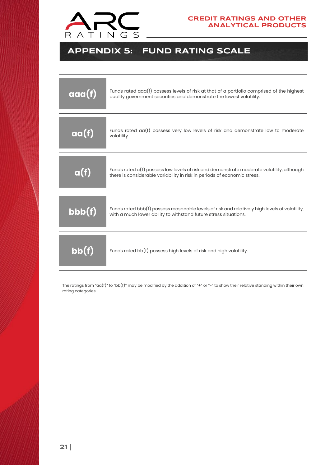

## <span id="page-20-0"></span>**APPENDIX 5: FUND RATING SCALE**

| $\alpha\alpha(f)$                    | Funds rated $a\alpha(f)$ possess levels of risk at that of a portfolio comprised of the highest<br>quality government securities and demonstrate the lowest volatility. |
|--------------------------------------|-------------------------------------------------------------------------------------------------------------------------------------------------------------------------|
| $\overline{\mathsf{aa}(\mathsf{f})}$ | Funds rated $\alpha(f)$ possess very low levels of risk and demonstrate low to moderate<br>volatility.                                                                  |
| $\mathbf{a}(\mathbf{f})$             | Funds rated $a(f)$ possess low levels of risk and demonstrate moderate volatility, although<br>there is considerable variability in risk in periods of economic stress. |
| bbb(f)                               | Funds rated bbb(f) possess reasonable levels of risk and relatively high levels of volatility,<br>with a much lower ability to withstand future stress situations.      |
| bb(f)                                | Funds rated bb(f) possess high levels of risk and high volatility.                                                                                                      |

The ratings from "aa(f)" to "bb(f)" may be modified by the addition of "+" or "-" to show their relative standing within their own rating categories.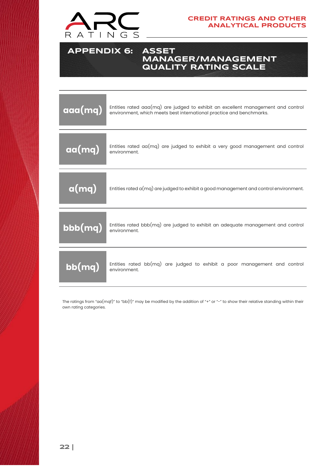

<span id="page-21-0"></span>**APPENDIX 6: ASSET MANAGER/MANAGEMENT QUALITY RATING SCALE**

| $\alpha$ aa $(mq)$ | Entities rated aaa(mq) are judged to exhibit an excellent management and control<br>environment, which meets best international practice and benchmarks. |
|--------------------|----------------------------------------------------------------------------------------------------------------------------------------------------------|
| aa(mq)             | Entities rated $aa(mq)$ are judged to exhibit a very good management and control<br>environment.                                                         |
| a(mq)              | Entities rated $a(mq)$ are judged to exhibit a good management and control environment.                                                                  |
| bbb(mq)            | Entities rated bbb(mq) are judged to exhibit an adequate management and control<br>environment.                                                          |
| bb(mq)             | Entities rated $bb(mq)$ are judged to exhibit a poor management and control<br>environment.                                                              |

The ratings from "aa(mqf)" to "bb(f)" may be modified by the addition of "+" or "-" to show their relative standing within their own rating categories.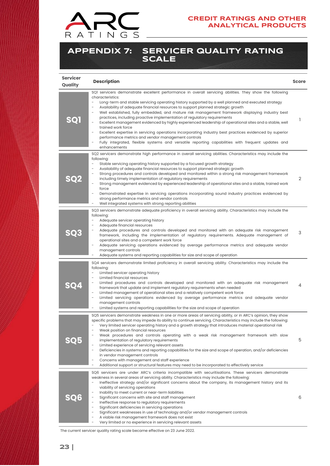

### <span id="page-22-0"></span>**APPENDIX 7: SERVICER QUALITY RATING SCALE**

| <b>Servicer</b><br>Quality | <b>Description</b>                                                                                                                                                                                                                                                                                                                                                                                                                                                                                                                                                                                                                                                                                                                                                                                                                                                                                                          | <b>Score</b> |
|----------------------------|-----------------------------------------------------------------------------------------------------------------------------------------------------------------------------------------------------------------------------------------------------------------------------------------------------------------------------------------------------------------------------------------------------------------------------------------------------------------------------------------------------------------------------------------------------------------------------------------------------------------------------------------------------------------------------------------------------------------------------------------------------------------------------------------------------------------------------------------------------------------------------------------------------------------------------|--------------|
| SQ1                        | SQ1 servicers demonstrate excellent performance in overall servicing abilities. They show the following<br>characteristics:<br>Long-term and stable servicing operating history supported by a well planned and executed strategy<br>Availability of adequate financial resources to support planned strategic growth<br>Well established, fully embedded, and mature risk management framework displaying industry best<br>practices, including proactive implementation of regulatory requirements<br>Excellent management evidenced by highly experienced leadership of operational sites and a stable, well<br>trained work force<br>Excellent expertise in servicing operations incorporating industry best practices evidenced by superior<br>performance metrics and vendor management controls<br>Fully integrated, flexible systems and versatile reporting capabilities with frequent updates and<br>enhancements | 1            |
| SQ2                        | SQ2 servicers demonstrate high performance in overall servicing abilities. Characteristics may include the<br>following:<br>Stable servicing operating history supported by a focused growth strategy<br>Availability of adequate financial resources to support planned strategic growth<br>Strong procedures and controls developed and monitored within a strong risk management framework<br>including timely implementation of regulatory requirements<br>Strong management evidenced by experienced leadership of operational sites and a stable, trained work<br>force<br>Demonstrated expertise in servicing operations incorporating sound industry practices evidenced by<br>strong performance metrics and vendor controls<br>Well integrated systems with strong reporting abilities                                                                                                                            | 2            |
| SQ3                        | SQ3 servicers demonstrate adequate proficiency in overall servicing ability. Characteristics may include the<br>following:<br>Adequate servicer operating history<br>Adequate financial resources<br>Adequate procedures and controls developed and monitored with an adequate risk management<br>framework, including the implementation of regulatory requirements. Adequate management of<br>operational sites and a competent work force<br>Adequate servicing operations evidenced by average performance metrics and adequate vendor<br>management controls<br>Adequate systems and reporting capabilities for size and scope of operation                                                                                                                                                                                                                                                                            | 3            |
|                            | SQ4 servicers demonstrate limited proficiency in overall servicing ability. Characteristics may include the<br>following:<br>Limited servicer operating history<br>Limited financial resources<br>Limited procedures and controls developed and monitored with an adequate risk management<br>framework that update and implement regulatory requirements when needed<br>Limited management of operational sites and a relatively competent work force<br>Limited servicing operations evidenced by average performance metrics and adequate vendor<br>management controls<br>Limited systems and reporting capabilities for the size and scope of operation                                                                                                                                                                                                                                                                | 4            |
| <b>SQ5</b>                 | SQ5 servicers demonstrate weakness in one or more areas of servicing ability, or in ARC's opinion, they show<br>specific problems that may impede its ability to continue servicing. Characteristics may include the following:<br>Very limited servicer operating history and a growth strategy that introduces material operational risk<br>Weak position on financial resources<br>Weak procedures and controls operating with a weak risk management framework with slow<br>implementation of regulatory requirements<br>Limited experience of servicing relevant assets<br>Deficiencies in systems and reporting capabilities for the size and scope of operation, and/or deficiencies<br>in vendor management controls<br>Concerns with management and staff experience<br>Additional support or structural features may need to be incorporated to effectively service                                               | 5            |
| <b>SQ6</b>                 | SQ6 servicers are under ARC's criteria incompatible with securitisations. These servicers demonstrate<br>weakness in several areas of servicing ability. Characteristics may include the following:<br>Ineffective strategy and/or significant concerns about the company, its management history and its<br>viability of servicing operations<br>Inability to meet current or near-term liabilities<br>Significant concerns with site and staff management<br>Ineffective response to regulatory requirements<br>Significant deficiencies in servicing operations<br>Significant weaknesses in use of technology and/or vendor management controls<br>A viable risk management framework does not exist<br>Very limited or no experience in servicing relevant assets                                                                                                                                                      | 6            |

The current servicer quality rating scale became effective on 23 June 2022.